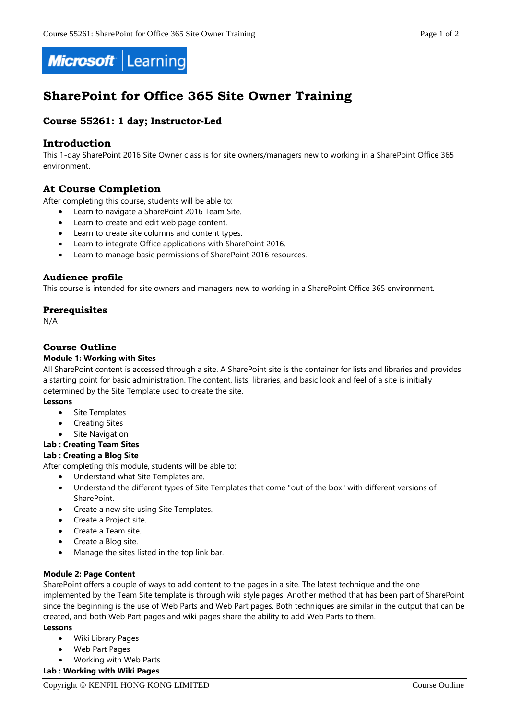

# **SharePoint for Office 365 Site Owner Training**

# **Course 55261: 1 day; Instructor-Led**

# **Introduction**

This 1-day SharePoint 2016 Site Owner class is for site owners/managers new to working in a SharePoint Office 365 environment.

# **At Course Completion**

After completing this course, students will be able to:

- Learn to navigate a SharePoint 2016 Team Site.
- Learn to create and edit web page content.
- Learn to create site columns and content types.
- Learn to integrate Office applications with SharePoint 2016.
- Learn to manage basic permissions of SharePoint 2016 resources.

# **Audience profile**

This course is intended for site owners and managers new to working in a SharePoint Office 365 environment.

# **Prerequisites**

N/A

# **Course Outline**

## **Module 1: Working with Sites**

All SharePoint content is accessed through a site. A SharePoint site is the container for lists and libraries and provides a starting point for basic administration. The content, lists, libraries, and basic look and feel of a site is initially determined by the Site Template used to create the site.

#### **Lessons**

- Site Templates
- Creating Sites
- Site Navigation

# **Lab : Creating Team Sites**

# **Lab : Creating a Blog Site**

After completing this module, students will be able to:

- Understand what Site Templates are.
- Understand the different types of Site Templates that come "out of the box" with different versions of SharePoint.
- Create a new site using Site Templates.
- Create a Project site.
- Create a Team site.
- Create a Blog site.
- Manage the sites listed in the top link bar.

#### **Module 2: Page Content**

SharePoint offers a couple of ways to add content to the pages in a site. The latest technique and the one implemented by the Team Site template is through wiki style pages. Another method that has been part of SharePoint since the beginning is the use of Web Parts and Web Part pages. Both techniques are similar in the output that can be created, and both Web Part pages and wiki pages share the ability to add Web Parts to them.

#### **Lessons**

- Wiki Library Pages
- Web Part Pages
- Working with Web Parts
- **Lab : Working with Wiki Pages**